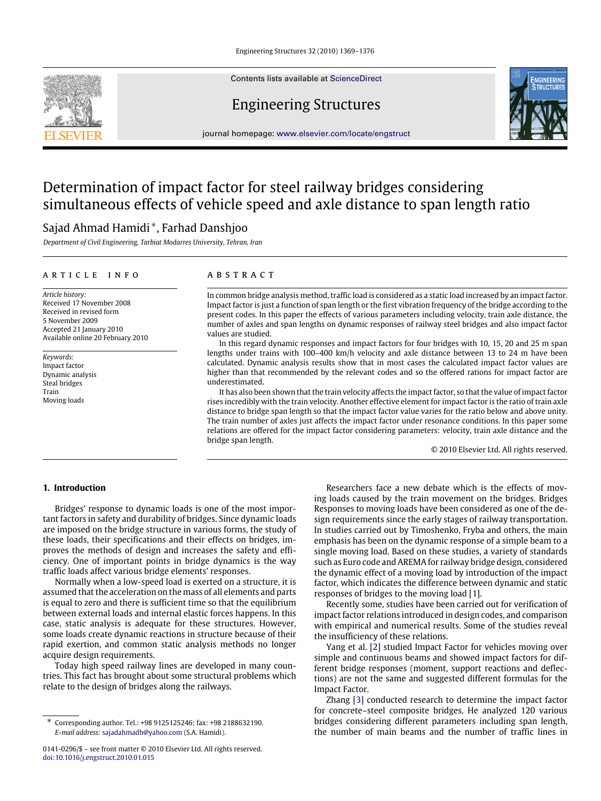Contents lists available at [ScienceDirect](http://www.elsevier.com/locate/engstruct)

## Engineering Structures

journal homepage: [www.elsevier.com/locate/engstruct](http://www.elsevier.com/locate/engstruct)



# Determination of impact factor for steel railway bridges considering simultaneous effects of vehicle speed and axle distance to span length ratio

Sajad Ahmad Hamidi [∗](#page-0-0) , Farhad Danshjoo

*Department of Civil Engineering, Tarbiat Modarres University, Tehran, Iran*

#### ARTICLE INFO

*Article history:* Received 17 November 2008 Received in revised form 5 November 2009 Accepted 21 January 2010 Available online 20 February 2010

*Keywords:* Impact factor Dynamic analysis Steal bridges Train Moving loads

#### A B S T R A C T

In common bridge analysis method, traffic load is considered as a static load increased by an impact factor. Impact factor is just a function of span length or the first vibration frequency of the bridge according to the present codes. In this paper the effects of various parameters including velocity, train axle distance, the number of axles and span lengths on dynamic responses of railway steel bridges and also impact factor values are studied.

In this regard dynamic responses and impact factors for four bridges with 10, 15, 20 and 25 m span lengths under trains with 100–400 km/h velocity and axle distance between 13 to 24 m have been calculated. Dynamic analysis results show that in most cases the calculated impact factor values are higher than that recommended by the relevant codes and so the offered rations for impact factor are underestimated.

It has also been shown that the train velocity affects the impact factor, so that the value of impact factor rises incredibly with the train velocity. Another effective element for impact factor is the ratio of train axle distance to bridge span length so that the impact factor value varies for the ratio below and above unity. The train number of axles just affects the impact factor under resonance conditions. In this paper some relations are offered for the impact factor considering parameters: velocity, train axle distance and the bridge span length.

© 2010 Elsevier Ltd. All rights reserved.

#### **1. Introduction**

Bridges' response to dynamic loads is one of the most important factors in safety and durability of bridges. Since dynamic loads are imposed on the bridge structure in various forms, the study of these loads, their specifications and their effects on bridges, improves the methods of design and increases the safety and efficiency. One of important points in bridge dynamics is the way traffic loads affect various bridge elements' responses.

Normally when a low-speed load is exerted on a structure, it is assumed that the acceleration on the mass of all elements and parts is equal to zero and there is sufficient time so that the equilibrium between external loads and internal elastic forces happens. In this case, static analysis is adequate for these structures. However, some loads create dynamic reactions in structure because of their rapid exertion, and common static analysis methods no longer acquire design requirements.

Today high speed railway lines are developed in many countries. This fact has brought about some structural problems which relate to the design of bridges along the railways.

Researchers face a new debate which is the effects of moving loads caused by the train movement on the bridges. Bridges Responses to moving loads have been considered as one of the design requirements since the early stages of railway transportation. In studies carried out by Timoshenko, Fryba and others, the main emphasis has been on the dynamic response of a simple beam to a single moving load. Based on these studies, a variety of standards such as Euro code and AREMA for railway bridge design, considered the dynamic effect of a moving load by introduction of the impact factor, which indicates the difference between dynamic and static responses of bridges to the moving load [\[1\]](#page--1-0).

Recently some, studies have been carried out for verification of impact factor relations introduced in design codes, and comparison with empirical and numerical results. Some of the studies reveal the insufficiency of these relations.

Yang et al. [\[2\]](#page--1-1) studied Impact Factor for vehicles moving over simple and continuous beams and showed impact factors for different bridge responses (moment, support reactions and deflections) are not the same and suggested different formulas for the Impact Factor.

Zhang [\[3\]](#page--1-2) conducted research to determine the impact factor for concrete–steel composite bridges. He analyzed 120 various bridges considering different parameters including span length, the number of main beams and the number of traffic lines in



<span id="page-0-0"></span><sup>∗</sup> Corresponding author. Tel.: +98 9125125246; fax: +98 2188632190. *E-mail address:* [sajadahmadh@yahoo.com](mailto:sajadahmadh@yahoo.com) (S.A. Hamidi).

<sup>0141-0296/\$ –</sup> see front matter © 2010 Elsevier Ltd. All rights reserved. [doi:10.1016/j.engstruct.2010.01.015](http://dx.doi.org/10.1016/j.engstruct.2010.01.015)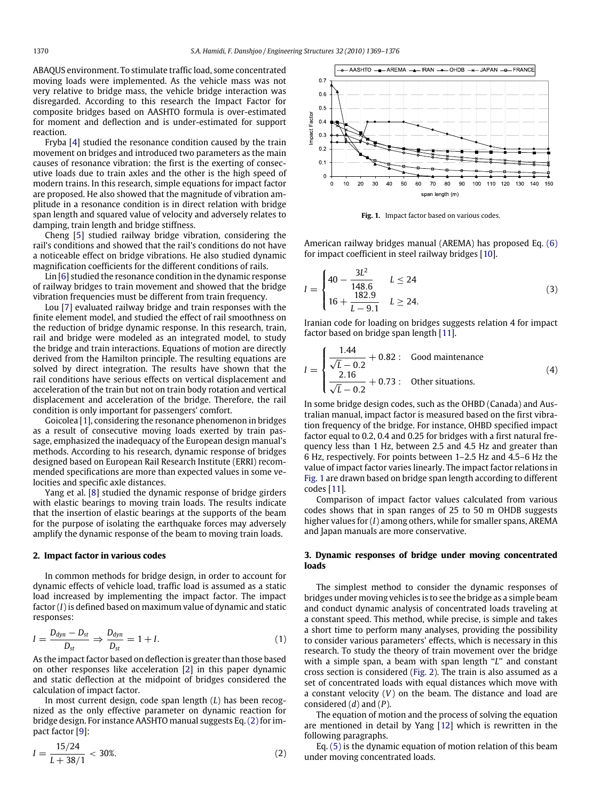ABAQUS environment. To stimulate traffic load, some concentrated moving loads were implemented. As the vehicle mass was not very relative to bridge mass, the vehicle bridge interaction was disregarded. According to this research the Impact Factor for composite bridges based on AASHTO formula is over-estimated for moment and deflection and is under-estimated for support reaction.

Fryba [\[4\]](#page--1-3) studied the resonance condition caused by the train movement on bridges and introduced two parameters as the main causes of resonance vibration: the first is the exerting of consecutive loads due to train axles and the other is the high speed of modern trains. In this research, simple equations for impact factor are proposed. He also showed that the magnitude of vibration amplitude in a resonance condition is in direct relation with bridge span length and squared value of velocity and adversely relates to damping, train length and bridge stiffness.

Cheng [\[5\]](#page--1-4) studied railway bridge vibration, considering the rail's conditions and showed that the rail's conditions do not have a noticeable effect on bridge vibrations. He also studied dynamic magnification coefficients for the different conditions of rails.

Lin [\[6\]](#page--1-5) studied the resonance condition in the dynamic response of railway bridges to train movement and showed that the bridge vibration frequencies must be different from train frequency.

Lou [\[7\]](#page--1-6) evaluated railway bridge and train responses with the finite element model, and studied the effect of rail smoothness on the reduction of bridge dynamic response. In this research, train, rail and bridge were modeled as an integrated model, to study the bridge and train interactions. Equations of motion are directly derived from the Hamilton principle. The resulting equations are solved by direct integration. The results have shown that the rail conditions have serious effects on vertical displacement and acceleration of the train but not on train body rotation and vertical displacement and acceleration of the bridge. Therefore, the rail condition is only important for passengers' comfort.

Goicolea [\[1\]](#page--1-0), considering the resonance phenomenon in bridges as a result of consecutive moving loads exerted by train passage, emphasized the inadequacy of the European design manual's methods. According to his research, dynamic response of bridges designed based on European Rail Research Institute (ERRI) recommended specifications are more than expected values in some velocities and specific axle distances.

Yang et al. [\[8\]](#page--1-7) studied the dynamic response of bridge girders with elastic bearings to moving train loads. The results indicate that the insertion of elastic bearings at the supports of the beam for the purpose of isolating the earthquake forces may adversely amplify the dynamic response of the beam to moving train loads.

### **2. Impact factor in various codes**

 $1 - \sqrt{24}$ 

In common methods for bridge design, in order to account for dynamic effects of vehicle load, traffic load is assumed as a static load increased by implementing the impact factor. The impact factor (*I*) is defined based on maximum value of dynamic and static responses:

$$
I = \frac{D_{dyn} - D_{st}}{D_{st}} \Rightarrow \frac{D_{dyn}}{D_{st}} = 1 + I.
$$
 (1)

As the impact factor based on deflection is greater than those based on other responses like acceleration [\[2\]](#page--1-1) in this paper dynamic and static deflection at the midpoint of bridges considered the calculation of impact factor.

In most current design, code span length (*L*) has been recognized as the only effective parameter on dynamic reaction for bridge design. For instance AASHTO manual suggests Eq. [\(2\)](#page-1-0) for impact factor [\[9\]](#page--1-8):

$$
I = \frac{15/24}{L + 38/1} < 30\%.\tag{2}
$$

<span id="page-1-1"></span>

**Fig. 1.** Impact factor based on various codes.

American railway bridges manual (AREMA) has proposed Eq. [\(6\)](#page--1-9) for impact coefficient in steel railway bridges [\[10\]](#page--1-10).

$$
I = \begin{cases} 40 - \frac{3L^2}{148.6} & L \le 24 \\ 16 + \frac{182.9}{L - 9.1} & L \ge 24. \end{cases}
$$
(3)

Iranian code for loading on bridges suggests relation 4 for impact factor based on bridge span length [\[11\]](#page--1-11).

$$
I = \begin{cases} \frac{1.44}{\sqrt{L} - 0.2} + 0.82: & \text{Good maintenance} \\ \frac{2.16}{\sqrt{L} - 0.2} + 0.73: & \text{Other situations.} \end{cases}
$$
(4)

In some bridge design codes, such as the OHBD (Canada) and Australian manual, impact factor is measured based on the first vibration frequency of the bridge. For instance, OHBD specified impact factor equal to 0.2, 0.4 and 0.25 for bridges with a first natural frequency less than 1 Hz, between 2.5 and 4.5 Hz and greater than 6 Hz, respectively. For points between 1–2.5 Hz and 4.5–6 Hz the value of impact factor varies linearly. The impact factor relations in [Fig. 1](#page-1-1) are drawn based on bridge span length according to different codes [\[11\]](#page--1-11).

Comparison of impact factor values calculated from various codes shows that in span ranges of 25 to 50 m OHDB suggests higher values for (*I*) among others, while for smaller spans, AREMA and Japan manuals are more conservative.

### **3. Dynamic responses of bridge under moving concentrated loads**

The simplest method to consider the dynamic responses of bridges under moving vehicles is to see the bridge as a simple beam and conduct dynamic analysis of concentrated loads traveling at a constant speed. This method, while precise, is simple and takes a short time to perform many analyses, providing the possibility to consider various parameters' effects, which is necessary in this research. To study the theory of train movement over the bridge with a simple span, a beam with span length ''*L*'' and constant cross section is considered [\(Fig. 2\)](#page--1-12). The train is also assumed as a set of concentrated loads with equal distances which move with a constant velocity (*V*) on the beam. The distance and load are considered (*d*) and (*P*).

The equation of motion and the process of solving the equation are mentioned in detail by Yang [\[12\]](#page--1-13) which is rewritten in the following paragraphs.

<span id="page-1-0"></span>Eq. [\(5\)](#page--1-14) is the dynamic equation of motion relation of this beam under moving concentrated loads.